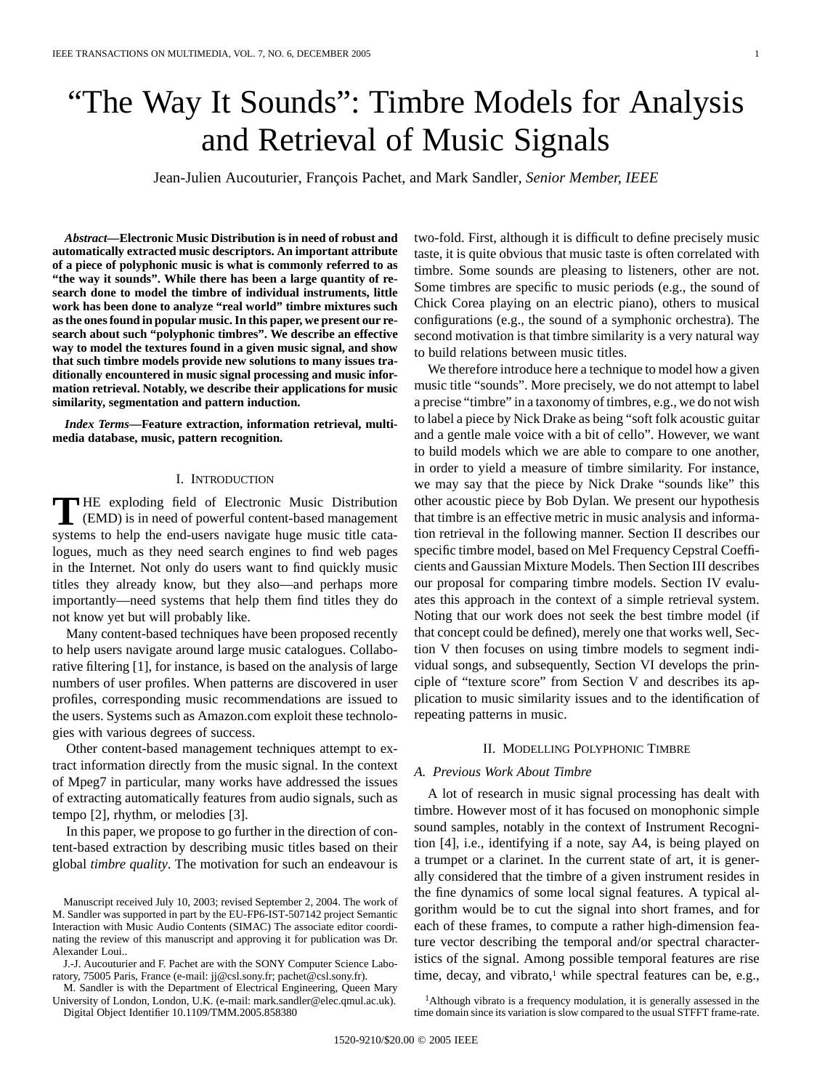# "The Way It Sounds": Timbre Models for Analysis and Retrieval of Music Signals

Jean-Julien Aucouturier, François Pachet, and Mark Sandler*, Senior Member, IEEE*

*Abstract—***Electronic Music Distribution is in need of robust and automatically extracted music descriptors. An important attribute of a piece of polyphonic music is what is commonly referred to as "the way it sounds". While there has been a large quantity of research done to model the timbre of individual instruments, little work has been done to analyze "real world" timbre mixtures such as the ones found in popular music. In this paper, we present our research about such "polyphonic timbres". We describe an effective way to model the textures found in a given music signal, and show that such timbre models provide new solutions to many issues traditionally encountered in music signal processing and music information retrieval. Notably, we describe their applications for music similarity, segmentation and pattern induction.**

*Index Terms—***Feature extraction, information retrieval, multimedia database, music, pattern recognition.**

## I. INTRODUCTION

**T** HE exploding field of Electronic Music Distribution (EMD) is in need of powerful content-based management systems to help the end-users navigate huge music title catalogues, much as they need search engines to find web pages in the Internet. Not only do users want to find quickly music titles they already know, but they also—and perhaps more importantly—need systems that help them find titles they do not know yet but will probably like.

Many content-based techniques have been proposed recently to help users navigate around large music catalogues. Collaborative filtering [[1\]](#page-7-0), for instance, is based on the analysis of large numbers of user profiles. When patterns are discovered in user profiles, corresponding music recommendations are issued to the users. Systems such as Amazon.com exploit these technologies with various degrees of success.

Other content-based management techniques attempt to extract information directly from the music signal. In the context of Mpeg7 in particular, many works have addressed the issues of extracting automatically features from audio signals, such as tempo [\[2](#page-7-0)], rhythm, or melodies [[3\]](#page-7-0).

In this paper, we propose to go further in the direction of content-based extraction by describing music titles based on their global *timbre quality*. The motivation for such an endeavour is

M. Sandler is with the Department of Electrical Engineering, Queen Mary University of London, London, U.K. (e-mail: mark.sandler@elec.qmul.ac.uk). Digital Object Identifier 10.1109/TMM.2005.858380

two-fold. First, although it is difficult to define precisely music taste, it is quite obvious that music taste is often correlated with timbre. Some sounds are pleasing to listeners, other are not. Some timbres are specific to music periods (e.g., the sound of Chick Corea playing on an electric piano), others to musical configurations (e.g., the sound of a symphonic orchestra). The second motivation is that timbre similarity is a very natural way to build relations between music titles.

We therefore introduce here a technique to model how a given music title "sounds". More precisely, we do not attempt to label a precise "timbre" in a taxonomy of timbres, e.g., we do not wish to label a piece by Nick Drake as being "soft folk acoustic guitar and a gentle male voice with a bit of cello". However, we want to build models which we are able to compare to one another, in order to yield a measure of timbre similarity. For instance, we may say that the piece by Nick Drake "sounds like" this other acoustic piece by Bob Dylan. We present our hypothesis that timbre is an effective metric in music analysis and information retrieval in the following manner. Section II describes our specific timbre model, based on Mel Frequency Cepstral Coefficients and Gaussian Mixture Models. Then Section III describes our proposal for comparing timbre models. Section IV evaluates this approach in the context of a simple retrieval system. Noting that our work does not seek the best timbre model (if that concept could be defined), merely one that works well, Section V then focuses on using timbre models to segment individual songs, and subsequently, Section VI develops the principle of "texture score" from Section V and describes its application to music similarity issues and to the identification of repeating patterns in music.

## II. MODELLING POLYPHONIC TIMBRE

## *A. Previous Work About Timbre*

A lot of research in music signal processing has dealt with timbre. However most of it has focused on monophonic simple sound samples, notably in the context of Instrument Recognition [\[4](#page-7-0)], i.e., identifying if a note, say A4, is being played on a trumpet or a clarinet. In the current state of art, it is generally considered that the timbre of a given instrument resides in the fine dynamics of some local signal features. A typical algorithm would be to cut the signal into short frames, and for each of these frames, to compute a rather high-dimension feature vector describing the temporal and/or spectral characteristics of the signal. Among possible temporal features are rise time, decay, and vibrato,<sup>1</sup> while spectral features can be, e.g.,

1Although vibrato is a frequency modulation, it is generally assessed in the time domain since its variation is slow compared to the usual STFFT frame-rate.

Manuscript received July 10, 2003; revised September 2, 2004. The work of M. Sandler was supported in part by the EU-FP6-IST-507142 project Semantic Interaction with Music Audio Contents (SIMAC) The associate editor coordinating the review of this manuscript and approving it for publication was Dr. Alexander Loui..

J.-J. Aucouturier and F. Pachet are with the SONY Computer Science Laboratory, 75005 Paris, France (e-mail: jj@csl.sony.fr; pachet@csl.sony.fr).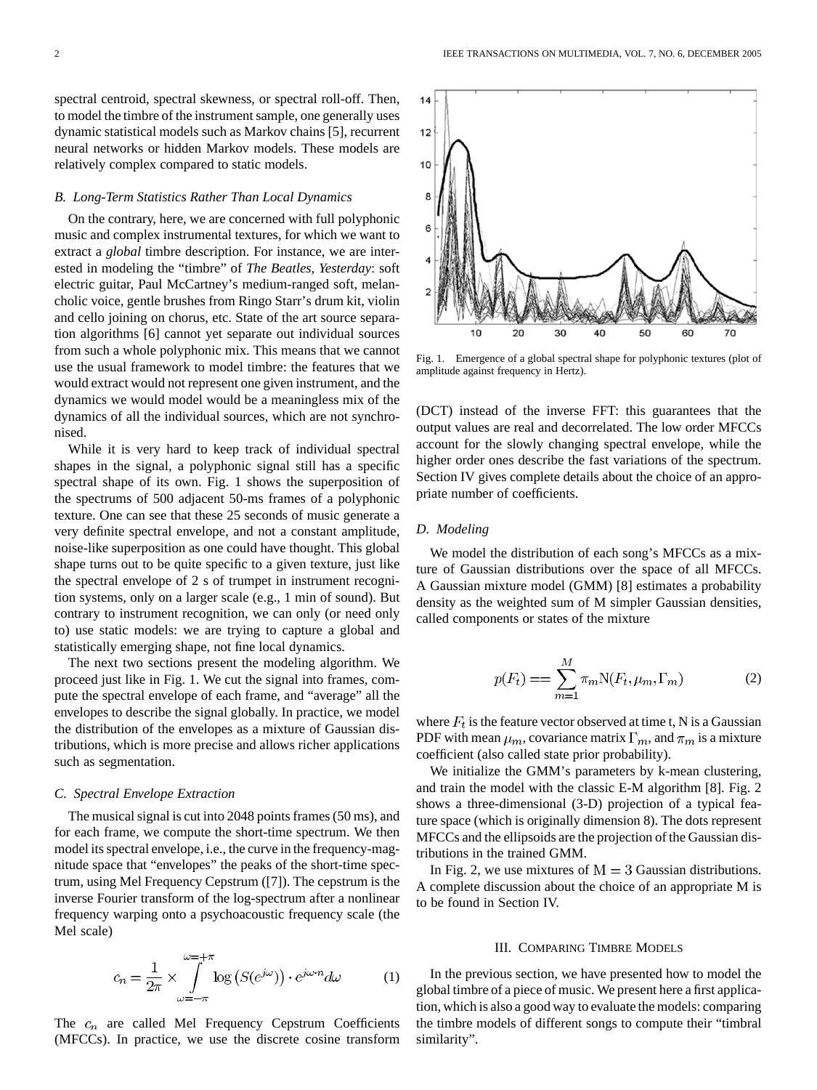spectral centroid, spectral skewness, or spectral roll-off. Then, to model the timbre of the instrument sample, one generally uses dynamic statistical models such as Markov chains [[5\]](#page-7-0), recurrent neural networks or hidden Markov models. These models are relatively complex compared to static models.

# *B. Long-Term Statistics Rather Than Local Dynamics*

On the contrary, here, we are concerned with full polyphonic music and complex instrumental textures, for which we want to extract a *global* timbre description. For instance, we are interested in modeling the "timbre" of *The Beatles, Yesterday*: soft electric guitar, Paul McCartney's medium-ranged soft, melancholic voice, gentle brushes from Ringo Starr's drum kit, violin and cello joining on chorus, etc. State of the art source separation algorithms [[6\]](#page-7-0) cannot yet separate out individual sources from such a whole polyphonic mix. This means that we cannot use the usual framework to model timbre: the features that we would extract would not represent one given instrument, and the dynamics we would model would be a meaningless mix of the dynamics of all the individual sources, which are not synchronised.

While it is very hard to keep track of individual spectral shapes in the signal, a polyphonic signal still has a specific spectral shape of its own. Fig. 1 shows the superposition of the spectrums of 500 adjacent 50-ms frames of a polyphonic texture. One can see that these 25 seconds of music generate a very definite spectral envelope, and not a constant amplitude, noise-like superposition as one could have thought. This global shape turns out to be quite specific to a given texture, just like the spectral envelope of 2 s of trumpet in instrument recognition systems, only on a larger scale (e.g., 1 min of sound). But contrary to instrument recognition, we can only (or need only to) use static models: we are trying to capture a global and statistically emerging shape, not fine local dynamics.

The next two sections present the modeling algorithm. We proceed just like in Fig. 1. We cut the signal into frames, compute the spectral envelope of each frame, and "average" all the envelopes to describe the signal globally. In practice, we model the distribution of the envelopes as a mixture of Gaussian distributions, which is more precise and allows richer applications such as segmentation.

#### *C. Spectral Envelope Extraction*

The musical signal is cut into 2048 points frames (50 ms), and for each frame, we compute the short-time spectrum. We then model its spectral envelope, i.e., the curve in the frequency-magnitude space that "envelopes" the peaks of the short-time spectrum, using Mel Frequency Cepstrum ([[7\]](#page-7-0)). The cepstrum is the inverse Fourier transform of the log-spectrum after a nonlinear frequency warping onto a psychoacoustic frequency scale (the Mel scale)

$$
c_n = \frac{1}{2\pi} \times \int_{\omega = -\pi}^{\omega = +\pi} \log \left( S(e^{j\omega}) \right) \cdot e^{j\omega \cdot n} d\omega \tag{1}
$$

The  $c_n$  are called Mel Frequency Cepstrum Coefficients (MFCCs). In practice, we use the discrete cosine transform

30 40 50 ണ 70 Fig. 1. Emergence of a global spectral shape for polyphonic textures (plot of

(DCT) instead of the inverse FFT: this guarantees that the output values are real and decorrelated. The low order MFCCs account for the slowly changing spectral envelope, while the higher order ones describe the fast variations of the spectrum. Section IV gives complete details about the choice of an appropriate number of coefficients.

#### *D. Modeling*

amplitude against frequency in Hertz).

We model the distribution of each song's MFCCs as a mixture of Gaussian distributions over the space of all MFCCs. A Gaussian mixture model (GMM) [[8](#page-7-0)] estimates a probability density as the weighted sum of M simpler Gaussian densities, called components or states of the mixture

$$
p(F_t) = \sum_{m=1}^{M} \pi_m \mathcal{N}(F_t, \mu_m, \Gamma_m)
$$
 (2)

where  $F_t$  is the feature vector observed at time t, N is a Gaussian PDF with mean  $\mu_m$ , covariance matrix  $\Gamma_m$ , and  $\pi_m$  is a mixture coefficient (also called state prior probability).

We initialize the GMM's parameters by k-mean clustering, and train the model with the classic E-M algorithm [\[8](#page-7-0)]. Fig. 2 shows a three-dimensional (3-D) projection of a typical feature space (which is originally dimension 8). The dots represent MFCCs and the ellipsoids are the projection of the Gaussian distributions in the trained GMM.

In Fig. 2, we use mixtures of  $M = 3$  Gaussian distributions. A complete discussion about the choice of an appropriate M is to be found in Section IV.

#### III. COMPARING TIMBRE MODELS

In the previous section, we have presented how to model the global timbre of a piece of music. We present here a first application, which is also a good way to evaluate the models: comparing the timbre models of different songs to compute their "timbral similarity".

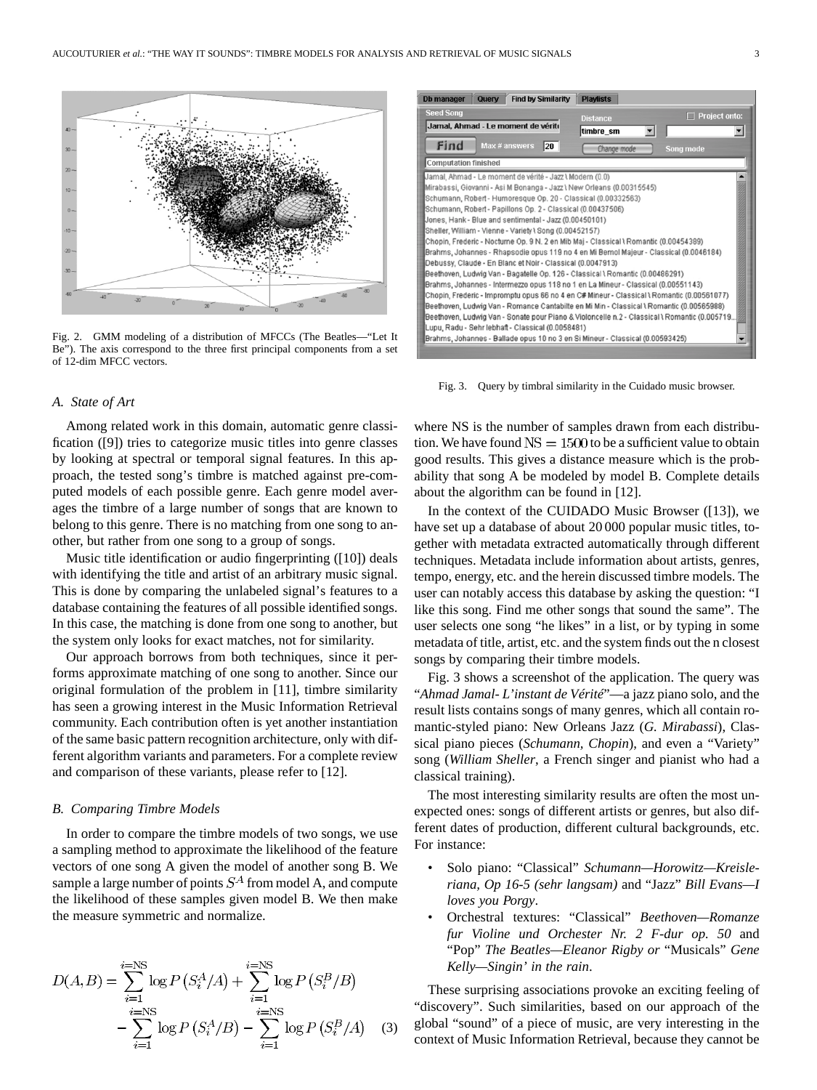

Fig. 2. GMM modeling of a distribution of MFCCs (The Beatles—"Let It Be"). The axis correspond to the three first principal components from a set of 12-dim MFCC vectors.

#### *A. State of Art*

Among related work in this domain, automatic genre classification ([[9\]](#page-7-0)) tries to categorize music titles into genre classes by looking at spectral or temporal signal features. In this approach, the tested song's timbre is matched against pre-computed models of each possible genre. Each genre model averages the timbre of a large number of songs that are known to belong to this genre. There is no matching from one song to another, but rather from one song to a group of songs.

Music title identification or audio fingerprinting ([\[10](#page-7-0)]) deals with identifying the title and artist of an arbitrary music signal. This is done by comparing the unlabeled signal's features to a database containing the features of all possible identified songs. In this case, the matching is done from one song to another, but the system only looks for exact matches, not for similarity.

Our approach borrows from both techniques, since it performs approximate matching of one song to another. Since our original formulation of the problem in [\[11](#page-7-0)], timbre similarity has seen a growing interest in the Music Information Retrieval community. Each contribution often is yet another instantiation of the same basic pattern recognition architecture, only with different algorithm variants and parameters. For a complete review and comparison of these variants, please refer to [[12\]](#page-7-0).

#### *B. Comparing Timbre Models*

In order to compare the timbre models of two songs, we use a sampling method to approximate the likelihood of the feature vectors of one song A given the model of another song B. We sample a large number of points  $S<sup>A</sup>$  from model A, and compute the likelihood of these samples given model B. We then make the measure symmetric and normalize.

$$
D(A, B) = \sum_{i=1}^{i=\text{NS}} \log P(S_i^A/A) + \sum_{i=1}^{i=\text{NS}} \log P(S_i^B/B)
$$

$$
- \sum_{i=1}^{i=\text{NS}} \log P(S_i^A/B) - \sum_{i=1}^{i=\text{NS}} \log P(S_i^B/A) \quad (3)
$$



Fig. 3. Query by timbral similarity in the Cuidado music browser.

where NS is the number of samples drawn from each distribution. We have found  $NS = 1500$  to be a sufficient value to obtain good results. This gives a distance measure which is the probability that song A be modeled by model B. Complete details about the algorithm can be found in [[12\]](#page-7-0).

In the context of the CUIDADO Music Browser ([\[13](#page-7-0)]), we have set up a database of about 20 000 popular music titles, together with metadata extracted automatically through different techniques. Metadata include information about artists, genres, tempo, energy, etc. and the herein discussed timbre models. The user can notably access this database by asking the question: "I like this song. Find me other songs that sound the same". The user selects one song "he likes" in a list, or by typing in some metadata of title, artist, etc. and the system finds out the n closest songs by comparing their timbre models.

Fig. 3 shows a screenshot of the application. The query was "*Ahmad Jamal- L'instant de Vérité*"—a jazz piano solo, and the result lists contains songs of many genres, which all contain romantic-styled piano: New Orleans Jazz (*G. Mirabassi*), Classical piano pieces (*Schumann, Chopin*), and even a "Variety" song (*William Sheller*, a French singer and pianist who had a classical training).

The most interesting similarity results are often the most unexpected ones: songs of different artists or genres, but also different dates of production, different cultural backgrounds, etc. For instance:

- Solo piano: "Classical" *Schumann—Horowitz—Kreisleriana, Op 16-5 (sehr langsam)* and "Jazz" *Bill Evans—I loves you Porgy*.
- Orchestral textures: "Classical" *Beethoven—Romanze fur Violine und Orchester Nr. 2 F-dur op. 50* and "Pop" *The Beatles—Eleanor Rigby or* "Musicals" *Gene Kelly—Singin' in the rain*.

These surprising associations provoke an exciting feeling of "discovery". Such similarities, based on our approach of the global "sound" of a piece of music, are very interesting in the context of Music Information Retrieval, because they cannot be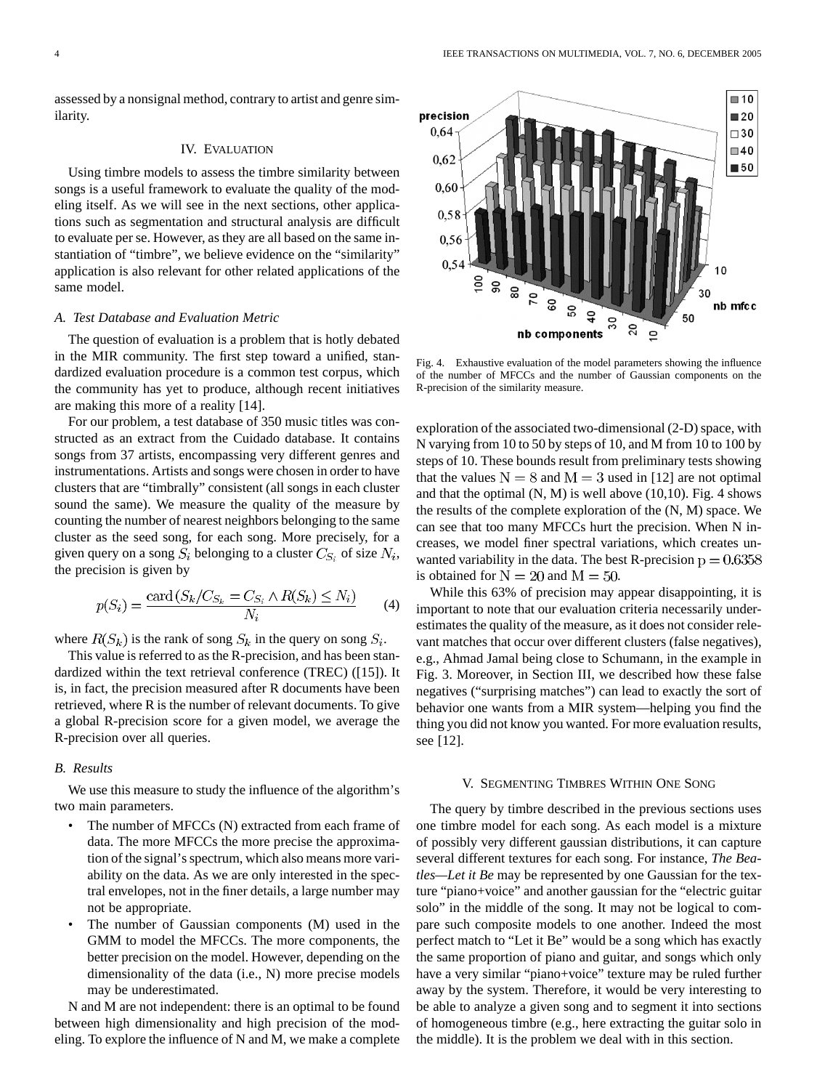assessed by a nonsignal method, contrary to artist and genre similarity.

# IV. EVALUATION

Using timbre models to assess the timbre similarity between songs is a useful framework to evaluate the quality of the modeling itself. As we will see in the next sections, other applications such as segmentation and structural analysis are difficult to evaluate per se. However, as they are all based on the same instantiation of "timbre", we believe evidence on the "similarity" application is also relevant for other related applications of the same model.

# *A. Test Database and Evaluation Metric*

The question of evaluation is a problem that is hotly debated in the MIR community. The first step toward a unified, standardized evaluation procedure is a common test corpus, which the community has yet to produce, although recent initiatives are making this more of a reality [\[14](#page-7-0)].

For our problem, a test database of 350 music titles was constructed as an extract from the Cuidado database. It contains songs from 37 artists, encompassing very different genres and instrumentations. Artists and songs were chosen in order to have clusters that are "timbrally" consistent (all songs in each cluster sound the same). We measure the quality of the measure by counting the number of nearest neighbors belonging to the same cluster as the seed song, for each song. More precisely, for a given query on a song  $S_i$  belonging to a cluster  $C_{S_i}$  of size  $N_i$ , the precision is given by

$$
p(S_i) = \frac{\operatorname{card}\left(S_k/C_{S_k} = C_{S_i} \land R(S_k) \le N_i\right)}{N_i} \tag{4}
$$

where  $R(S_k)$  is the rank of song  $S_k$  in the query on song  $S_i$ .

This value is referred to as the R-precision, and has been standardized within the text retrieval conference (TREC) ([\[15](#page-7-0)]). It is, in fact, the precision measured after R documents have been retrieved, where R is the number of relevant documents. To give a global R-precision score for a given model, we average the R-precision over all queries.

# *B. Results*

We use this measure to study the influence of the algorithm's two main parameters.

- The number of MFCCs (N) extracted from each frame of data. The more MFCCs the more precise the approximation of the signal's spectrum, which also means more variability on the data. As we are only interested in the spectral envelopes, not in the finer details, a large number may not be appropriate.
- The number of Gaussian components (M) used in the GMM to model the MFCCs. The more components, the better precision on the model. However, depending on the dimensionality of the data (i.e., N) more precise models may be underestimated.

N and M are not independent: there is an optimal to be found between high dimensionality and high precision of the modeling. To explore the influence of N and M, we make a complete



Fig. 4. Exhaustive evaluation of the model parameters showing the influence of the number of MFCCs and the number of Gaussian components on the R-precision of the similarity measure.

exploration of the associated two-dimensional (2-D) space, with N varying from 10 to 50 by steps of 10, and M from 10 to 100 by steps of 10. These bounds result from preliminary tests showing that the values  $N = 8$  and  $M = 3$  used in [[12\]](#page-7-0) are not optimal and that the optimal  $(N, M)$  is well above  $(10,10)$ . Fig. 4 shows the results of the complete exploration of the (N, M) space. We can see that too many MFCCs hurt the precision. When N increases, we model finer spectral variations, which creates unwanted variability in the data. The best R-precision  $p = 0.6358$ is obtained for  $N = 20$  and  $M = 50$ .

While this 63% of precision may appear disappointing, it is important to note that our evaluation criteria necessarily underestimates the quality of the measure, as it does not consider relevant matches that occur over different clusters (false negatives), e.g., Ahmad Jamal being close to Schumann, in the example in Fig. 3. Moreover, in Section III, we described how these false negatives ("surprising matches") can lead to exactly the sort of behavior one wants from a MIR system—helping you find the thing you did not know you wanted. For more evaluation results, see [[12\]](#page-7-0).

#### V. SEGMENTING TIMBRES WITHIN ONE SONG

The query by timbre described in the previous sections uses one timbre model for each song. As each model is a mixture of possibly very different gaussian distributions, it can capture several different textures for each song. For instance, *The Beatles—Let it Be* may be represented by one Gaussian for the texture "piano+voice" and another gaussian for the "electric guitar solo" in the middle of the song. It may not be logical to compare such composite models to one another. Indeed the most perfect match to "Let it Be" would be a song which has exactly the same proportion of piano and guitar, and songs which only have a very similar "piano+voice" texture may be ruled further away by the system. Therefore, it would be very interesting to be able to analyze a given song and to segment it into sections of homogeneous timbre (e.g., here extracting the guitar solo in the middle). It is the problem we deal with in this section.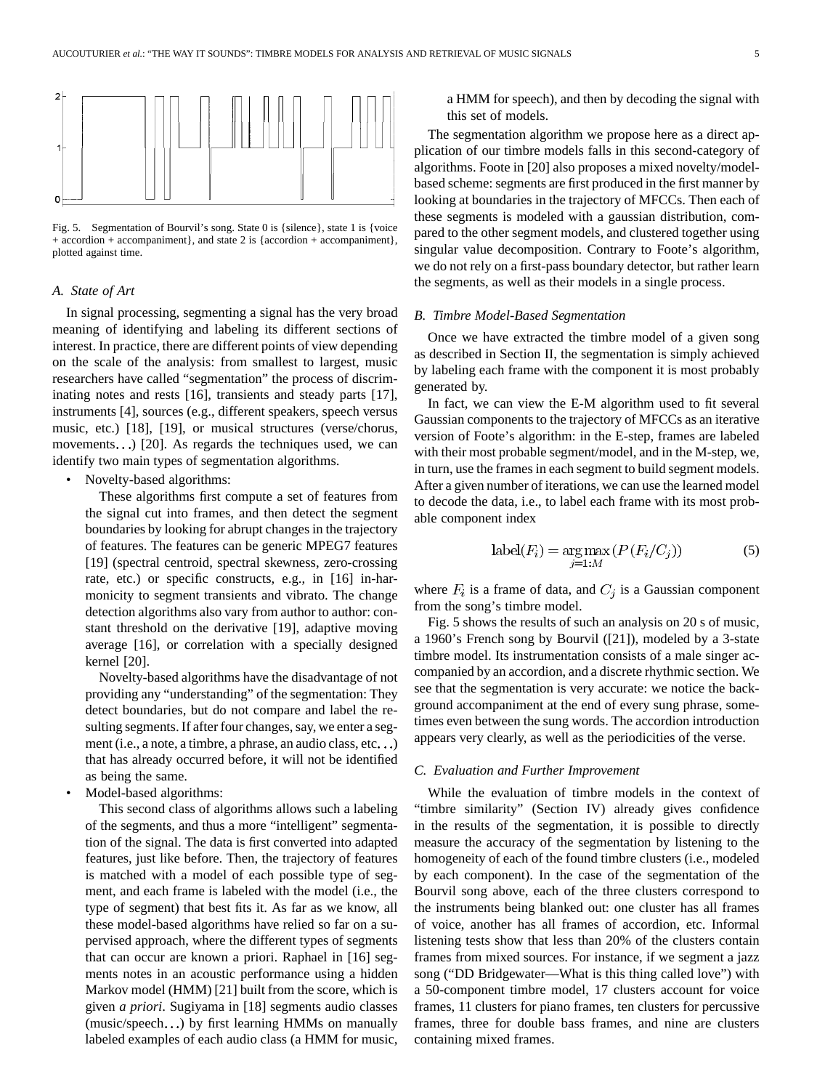

Fig. 5. Segmentation of Bourvil's song. State 0 is {silence}, state 1 is {voice + accordion + accompaniment}, and state 2 is {accordion + accompaniment}, plotted against time.

#### *A. State of Art*

In signal processing, segmenting a signal has the very broad meaning of identifying and labeling its different sections of interest. In practice, there are different points of view depending on the scale of the analysis: from smallest to largest, music researchers have called "segmentation" the process of discriminating notes and rests [[16\]](#page-7-0), transients and steady parts [\[17](#page-7-0)], instruments [\[4](#page-7-0)], sources (e.g., different speakers, speech versus music, etc.) [\[18](#page-7-0)], [\[19](#page-7-0)], or musical structures (verse/chorus, movements...) [[20\]](#page-7-0). As regards the techniques used, we can identify two main types of segmentation algorithms.

• Novelty-based algorithms:

These algorithms first compute a set of features from the signal cut into frames, and then detect the segment boundaries by looking for abrupt changes in the trajectory of features. The features can be generic MPEG7 features [\[19](#page-7-0)] (spectral centroid, spectral skewness, zero-crossing rate, etc.) or specific constructs, e.g., in [[16\]](#page-7-0) in-harmonicity to segment transients and vibrato. The change detection algorithms also vary from author to author: constant threshold on the derivative [[19\]](#page-7-0), adaptive moving average [[16\]](#page-7-0), or correlation with a specially designed kernel [\[20](#page-7-0)].

Novelty-based algorithms have the disadvantage of not providing any "understanding" of the segmentation: They detect boundaries, but do not compare and label the resulting segments. If after four changes, say, we enter a segment (i.e., a note, a timbre, a phrase, an audio class, etc...) that has already occurred before, it will not be identified as being the same.

• Model-based algorithms:

This second class of algorithms allows such a labeling of the segments, and thus a more "intelligent" segmentation of the signal. The data is first converted into adapted features, just like before. Then, the trajectory of features is matched with a model of each possible type of segment, and each frame is labeled with the model (i.e., the type of segment) that best fits it. As far as we know, all these model-based algorithms have relied so far on a supervised approach, where the different types of segments that can occur are known a priori. Raphael in [[16\]](#page-7-0) segments notes in an acoustic performance using a hidden Markov model (HMM) [\[21](#page-7-0)] built from the score, which is given *a priori*. Sugiyama in [\[18](#page-7-0)] segments audio classes  $(music/speech...)$  by first learning HMMs on manually labeled examples of each audio class (a HMM for music,

a HMM for speech), and then by decoding the signal with this set of models.

The segmentation algorithm we propose here as a direct application of our timbre models falls in this second-category of algorithms. Foote in [[20\]](#page-7-0) also proposes a mixed novelty/modelbased scheme: segments are first produced in the first manner by looking at boundaries in the trajectory of MFCCs. Then each of these segments is modeled with a gaussian distribution, compared to the other segment models, and clustered together using singular value decomposition. Contrary to Foote's algorithm, we do not rely on a first-pass boundary detector, but rather learn the segments, as well as their models in a single process.

## *B. Timbre Model-Based Segmentation*

Once we have extracted the timbre model of a given song as described in Section II, the segmentation is simply achieved by labeling each frame with the component it is most probably generated by.

In fact, we can view the E-M algorithm used to fit several Gaussian components to the trajectory of MFCCs as an iterative version of Foote's algorithm: in the E-step, frames are labeled with their most probable segment/model, and in the M-step, we, in turn, use the frames in each segment to build segment models. After a given number of iterations, we can use the learned model to decode the data, i.e., to label each frame with its most probable component index

$$
label(F_i) = \underset{j=1:M}{\arg \max} (P(F_i/C_j))
$$
 (5)

where  $F_i$  is a frame of data, and  $C_j$  is a Gaussian component from the song's timbre model.

Fig. 5 shows the results of such an analysis on 20 s of music, a 1960's French song by Bourvil ([\[21](#page-7-0)]), modeled by a 3-state timbre model. Its instrumentation consists of a male singer accompanied by an accordion, and a discrete rhythmic section. We see that the segmentation is very accurate: we notice the background accompaniment at the end of every sung phrase, sometimes even between the sung words. The accordion introduction appears very clearly, as well as the periodicities of the verse.

# *C. Evaluation and Further Improvement*

While the evaluation of timbre models in the context of "timbre similarity" (Section IV) already gives confidence in the results of the segmentation, it is possible to directly measure the accuracy of the segmentation by listening to the homogeneity of each of the found timbre clusters (i.e., modeled by each component). In the case of the segmentation of the Bourvil song above, each of the three clusters correspond to the instruments being blanked out: one cluster has all frames of voice, another has all frames of accordion, etc. Informal listening tests show that less than 20% of the clusters contain frames from mixed sources. For instance, if we segment a jazz song ("DD Bridgewater—What is this thing called love") with a 50-component timbre model, 17 clusters account for voice frames, 11 clusters for piano frames, ten clusters for percussive frames, three for double bass frames, and nine are clusters containing mixed frames.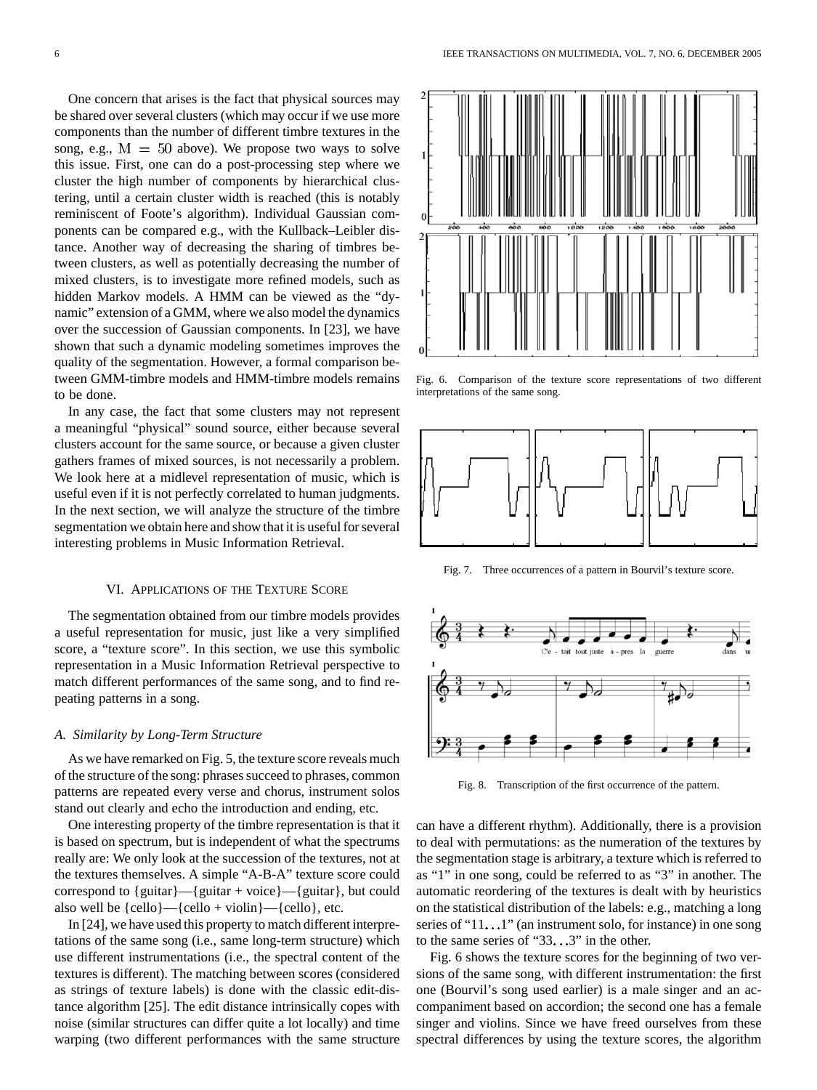One concern that arises is the fact that physical sources may be shared over several clusters (which may occur if we use more components than the number of different timbre textures in the song, e.g.,  $M = 50$  above). We propose two ways to solve this issue. First, one can do a post-processing step where we cluster the high number of components by hierarchical clustering, until a certain cluster width is reached (this is notably reminiscent of Foote's algorithm). Individual Gaussian components can be compared e.g., with the Kullback–Leibler distance. Another way of decreasing the sharing of timbres between clusters, as well as potentially decreasing the number of mixed clusters, is to investigate more refined models, such as

hidden Markov models. A HMM can be viewed as the "dynamic" extension of a GMM, where we also model the dynamics over the succession of Gaussian components. In [\[23](#page-7-0)], we have shown that such a dynamic modeling sometimes improves the quality of the segmentation. However, a formal comparison between GMM-timbre models and HMM-timbre models remains to be done.

In any case, the fact that some clusters may not represent a meaningful "physical" sound source, either because several clusters account for the same source, or because a given cluster gathers frames of mixed sources, is not necessarily a problem. We look here at a midlevel representation of music, which is useful even if it is not perfectly correlated to human judgments. In the next section, we will analyze the structure of the timbre segmentation we obtain here and show that it is useful for several interesting problems in Music Information Retrieval.

#### VI. APPLICATIONS OF THE TEXTURE SCORE

The segmentation obtained from our timbre models provides a useful representation for music, just like a very simplified score, a "texture score". In this section, we use this symbolic representation in a Music Information Retrieval perspective to match different performances of the same song, and to find repeating patterns in a song.

# *A. Similarity by Long-Term Structure*

As we have remarked on Fig. 5, the texture score reveals much of the structure of the song: phrases succeed to phrases, common patterns are repeated every verse and chorus, instrument solos stand out clearly and echo the introduction and ending, etc.

One interesting property of the timbre representation is that it is based on spectrum, but is independent of what the spectrums really are: We only look at the succession of the textures, not at the textures themselves. A simple "A-B-A" texture score could correspond to  $\{$ guitar $\}$ — $\{$ guitar + voice $\}$ — $\{$ guitar $\}$ , but could also well be  $\{cello\}$ — $\{cello + violin\}$ — $\{cello\}$ , etc.

In [[24\]](#page-7-0), we have used this property to match different interpretations of the same song (i.e., same long-term structure) which use different instrumentations (i.e., the spectral content of the textures is different). The matching between scores (considered as strings of texture labels) is done with the classic edit-distance algorithm [[25\]](#page-7-0). The edit distance intrinsically copes with noise (similar structures can differ quite a lot locally) and time warping (two different performances with the same structure



Fig. 6. Comparison of the texture score representations of two different interpretations of the same song.



Fig. 7. Three occurrences of a pattern in Bourvil's texture score.



Fig. 8. Transcription of the first occurrence of the pattern.

can have a different rhythm). Additionally, there is a provision to deal with permutations: as the numeration of the textures by the segmentation stage is arbitrary, a texture which is referred to as "1" in one song, could be referred to as "3" in another. The automatic reordering of the textures is dealt with by heuristics on the statistical distribution of the labels: e.g., matching a long series of " $11...1$ " (an instrument solo, for instance) in one song to the same series of " $33...3$ " in the other.

Fig. 6 shows the texture scores for the beginning of two versions of the same song, with different instrumentation: the first one (Bourvil's song used earlier) is a male singer and an accompaniment based on accordion; the second one has a female singer and violins. Since we have freed ourselves from these spectral differences by using the texture scores, the algorithm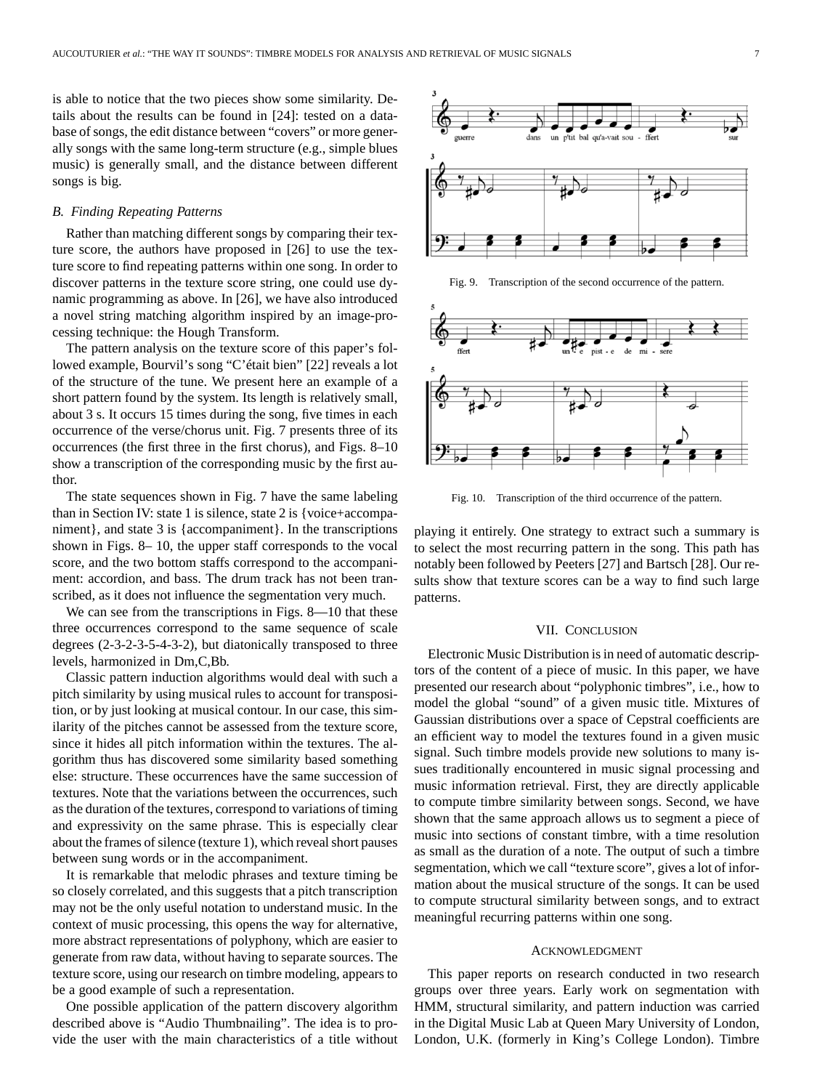is able to notice that the two pieces show some similarity. Details about the results can be found in [\[24](#page-7-0)]: tested on a database of songs, the edit distance between "covers" or more generally songs with the same long-term structure (e.g., simple blues music) is generally small, and the distance between different songs is big.

## *B. Finding Repeating Patterns*

Rather than matching different songs by comparing their texture score, the authors have proposed in [[26\]](#page-7-0) to use the texture score to find repeating patterns within one song. In order to discover patterns in the texture score string, one could use dynamic programming as above. In [[26\]](#page-7-0), we have also introduced a novel string matching algorithm inspired by an image-processing technique: the Hough Transform.

The pattern analysis on the texture score of this paper's followed example, Bourvil's song "C'était bien" [[22\]](#page-7-0) reveals a lot of the structure of the tune. We present here an example of a short pattern found by the system. Its length is relatively small, about 3 s. It occurs 15 times during the song, five times in each occurrence of the verse/chorus unit. Fig. 7 presents three of its occurrences (the first three in the first chorus), and Figs. 8–10 show a transcription of the corresponding music by the first author.

The state sequences shown in Fig. 7 have the same labeling than in Section IV: state 1 is silence, state 2 is {voice+accompaniment}, and state 3 is {accompaniment}. In the transcriptions shown in Figs. 8– 10, the upper staff corresponds to the vocal score, and the two bottom staffs correspond to the accompaniment: accordion, and bass. The drum track has not been transcribed, as it does not influence the segmentation very much.

We can see from the transcriptions in Figs. 8–10 that these three occurrences correspond to the same sequence of scale degrees (2-3-2-3-5-4-3-2), but diatonically transposed to three levels, harmonized in Dm,C,Bb.

Classic pattern induction algorithms would deal with such a pitch similarity by using musical rules to account for transposition, or by just looking at musical contour. In our case, this similarity of the pitches cannot be assessed from the texture score, since it hides all pitch information within the textures. The algorithm thus has discovered some similarity based something else: structure. These occurrences have the same succession of textures. Note that the variations between the occurrences, such as the duration of the textures, correspond to variations of timing and expressivity on the same phrase. This is especially clear about the frames of silence (texture 1), which reveal short pauses between sung words or in the accompaniment.

It is remarkable that melodic phrases and texture timing be so closely correlated, and this suggests that a pitch transcription may not be the only useful notation to understand music. In the context of music processing, this opens the way for alternative, more abstract representations of polyphony, which are easier to generate from raw data, without having to separate sources. The texture score, using our research on timbre modeling, appears to be a good example of such a representation.

One possible application of the pattern discovery algorithm described above is "Audio Thumbnailing". The idea is to provide the user with the main characteristics of a title without



Fig. 9. Transcription of the second occurrence of the pattern.



Fig. 10. Transcription of the third occurrence of the pattern.

playing it entirely. One strategy to extract such a summary is to select the most recurring pattern in the song. This path has notably been followed by Peeters [[27\]](#page-7-0) and Bartsch [[28\]](#page-7-0). Our results show that texture scores can be a way to find such large patterns.

#### VII. CONCLUSION

Electronic Music Distribution is in need of automatic descriptors of the content of a piece of music. In this paper, we have presented our research about "polyphonic timbres", i.e., how to model the global "sound" of a given music title. Mixtures of Gaussian distributions over a space of Cepstral coefficients are an efficient way to model the textures found in a given music signal. Such timbre models provide new solutions to many issues traditionally encountered in music signal processing and music information retrieval. First, they are directly applicable to compute timbre similarity between songs. Second, we have shown that the same approach allows us to segment a piece of music into sections of constant timbre, with a time resolution as small as the duration of a note. The output of such a timbre segmentation, which we call "texture score", gives a lot of information about the musical structure of the songs. It can be used to compute structural similarity between songs, and to extract meaningful recurring patterns within one song.

#### ACKNOWLEDGMENT

This paper reports on research conducted in two research groups over three years. Early work on segmentation with HMM, structural similarity, and pattern induction was carried in the Digital Music Lab at Queen Mary University of London, London, U.K. (formerly in King's College London). Timbre